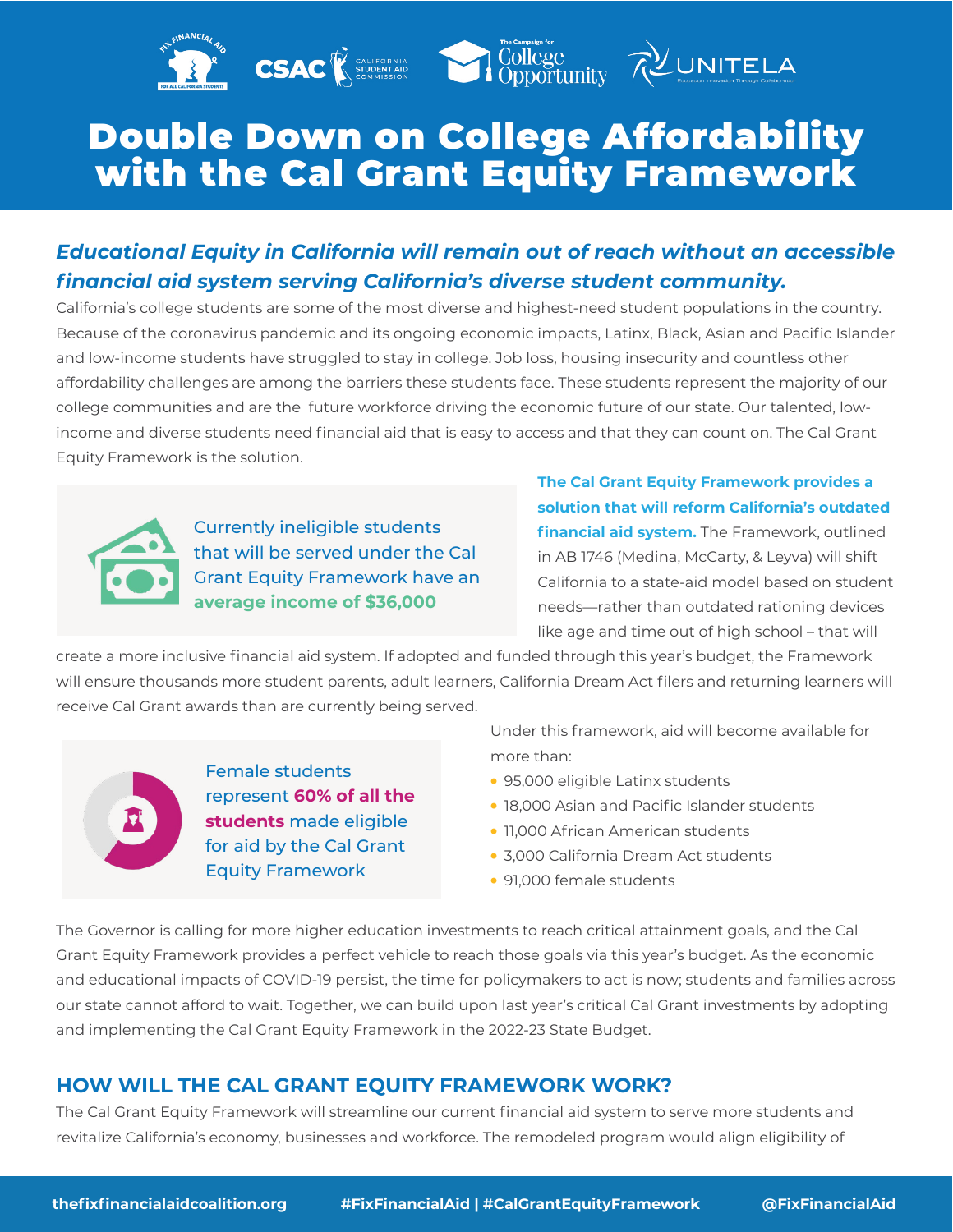## Double Down on College Affordability with the Cal Grant Equity Framework

**CSAC Expression COLLEGE COLLEGE COLLEGE** 

## *Educational Equity in California will remain out of reach without an accessible financial aid system serving California's diverse student community.*

California's college students are some of the most diverse and highest-need student populations in the country. Because of the coronavirus pandemic and its ongoing economic impacts, Latinx, Black, Asian and Pacific Islander and low-income students have struggled to stay in college. Job loss, housing insecurity and countless other affordability challenges are among the barriers these students face. These students represent the majority of our college communities and are the future workforce driving the economic future of our state. Our talented, lowincome and diverse students need financial aid that is easy to access and that they can count on. The Cal Grant Equity Framework is the solution.



Currently ineligible students that will be served under the Cal Grant Equity Framework have an **average income of \$36,000**

**The Cal Grant Equity Framework provides a solution that will reform California's outdated financial aid system.** The Framework, outlined in AB 1746 (Medina, McCarty, & Leyva) will shift California to a state-aid model based on student needs—rather than outdated rationing devices like age and time out of high school – that will

create a more inclusive financial aid system. If adopted and funded through this year's budget, the Framework will ensure thousands more student parents, adult learners, California Dream Act filers and returning learners will receive Cal Grant awards than are currently being served.

Female students represent **60% of all the students** made eligible for aid by the Cal Grant Equity Framework

Under this framework, aid will become available for more than:

- 95,000 eligible Latinx students
- 18,000 Asian and Pacific Islander students
- 11,000 African American students
- 3,000 California Dream Act students
- 91,000 female students

The Governor is calling for more higher education investments to reach critical attainment goals, and the Cal Grant Equity Framework provides a perfect vehicle to reach those goals via this year's budget. As the economic and educational impacts of COVID-19 persist, the time for policymakers to act is now; students and families across our state cannot afford to wait. Together, we can build upon last year's critical Cal Grant investments by adopting and implementing the Cal Grant Equity Framework in the 2022-23 State Budget.

## **HOW WILL THE CAL GRANT EQUITY FRAMEWORK WORK?**

The Cal Grant Equity Framework will streamline our current financial aid system to serve more students and revitalize California's economy, businesses and workforce. The remodeled program would align eligibility of